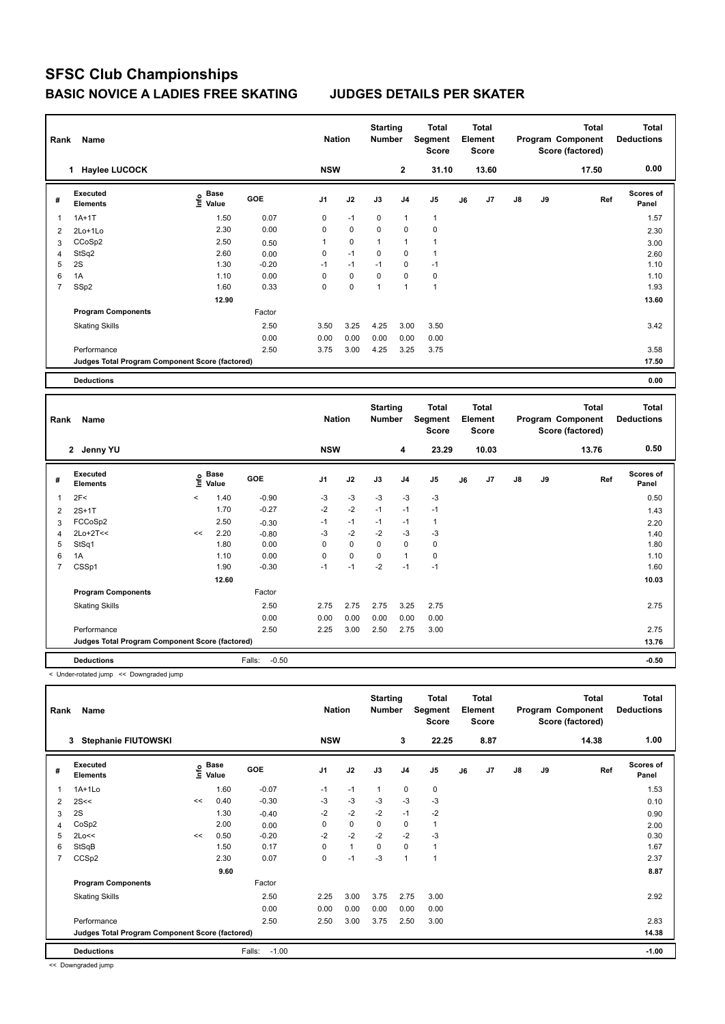## **SFSC Club Championships BASIC NOVICE A LADIES FREE SKATING JUDGES DETAILS PER SKATER**

| Rank<br>Name |                                                 |                                  |            | <b>Nation</b> |      | <b>Starting</b><br><b>Number</b> |                | <b>Total</b><br>Segment<br><b>Score</b> | <b>Total</b><br>Element<br>Score |       |               |    | <b>Total</b><br>Program Component<br>Score (factored) | <b>Total</b><br><b>Deductions</b> |
|--------------|-------------------------------------------------|----------------------------------|------------|---------------|------|----------------------------------|----------------|-----------------------------------------|----------------------------------|-------|---------------|----|-------------------------------------------------------|-----------------------------------|
|              | <b>Haylee LUCOCK</b>                            |                                  |            | <b>NSW</b>    |      |                                  | $\overline{2}$ | 31.10                                   |                                  | 13.60 |               |    | 17.50                                                 | 0.00                              |
| #            | Executed<br><b>Elements</b>                     | <b>Base</b><br>e Base<br>⊆ Value | <b>GOE</b> | J1            | J2   | J3                               | J <sub>4</sub> | J <sub>5</sub>                          | J6                               | J7    | $\mathsf{J}8$ | J9 | Ref                                                   | <b>Scores of</b><br>Panel         |
| 1            | $1A+1T$                                         | 1.50                             | 0.07       | 0             | $-1$ | 0                                | 1              | $\overline{1}$                          |                                  |       |               |    |                                                       | 1.57                              |
| 2            | $2Lo+1Lo$                                       | 2.30                             | 0.00       | 0             | 0    | 0                                | 0              | 0                                       |                                  |       |               |    |                                                       | 2.30                              |
| 3            | CCoSp2                                          | 2.50                             | 0.50       | 1             | 0    | $\mathbf{1}$                     | 1              | 1                                       |                                  |       |               |    |                                                       | 3.00                              |
| 4            | StSq2                                           | 2.60                             | 0.00       | 0             | $-1$ | 0                                | 0              | 1                                       |                                  |       |               |    |                                                       | 2.60                              |
| 5            | 2S                                              | 1.30                             | $-0.20$    | $-1$          | $-1$ | $-1$                             | 0              | $-1$                                    |                                  |       |               |    |                                                       | 1.10                              |
| 6            | 1A                                              | 1.10                             | 0.00       | 0             | 0    | 0                                | 0              | 0                                       |                                  |       |               |    |                                                       | 1.10                              |
| 7            | SSp2                                            | 1.60                             | 0.33       | 0             | 0    | $\overline{1}$                   | 1              | $\overline{1}$                          |                                  |       |               |    |                                                       | 1.93                              |
|              |                                                 | 12.90                            |            |               |      |                                  |                |                                         |                                  |       |               |    |                                                       | 13.60                             |
|              | <b>Program Components</b>                       |                                  | Factor     |               |      |                                  |                |                                         |                                  |       |               |    |                                                       |                                   |
|              | <b>Skating Skills</b>                           |                                  | 2.50       | 3.50          | 3.25 | 4.25                             | 3.00           | 3.50                                    |                                  |       |               |    |                                                       | 3.42                              |
|              |                                                 |                                  | 0.00       | 0.00          | 0.00 | 0.00                             | 0.00           | 0.00                                    |                                  |       |               |    |                                                       |                                   |
|              | Performance                                     |                                  | 2.50       | 3.75          | 3.00 | 4.25                             | 3.25           | 3.75                                    |                                  |       |               |    |                                                       | 3.58                              |
|              | Judges Total Program Component Score (factored) |                                  |            |               |      |                                  |                |                                         |                                  |       |               |    |                                                       | 17.50                             |
|              | <b>Deductions</b>                               |                                  |            |               |      |                                  |                |                                         |                                  |       |               |    |                                                       | 0.00                              |

| Name<br>Rank   |                                                 |         |               | <b>Nation</b>     |                | <b>Starting</b><br><b>Number</b> |             | <b>Total</b><br>Segment<br><b>Score</b> | <b>Total</b><br>Element<br><b>Score</b> |    |       |               | <b>Total</b><br>Program Component<br>Score (factored) | <b>Total</b><br><b>Deductions</b> |                           |
|----------------|-------------------------------------------------|---------|---------------|-------------------|----------------|----------------------------------|-------------|-----------------------------------------|-----------------------------------------|----|-------|---------------|-------------------------------------------------------|-----------------------------------|---------------------------|
|                | 2 Jenny YU                                      |         |               |                   | <b>NSW</b>     |                                  |             | 4                                       | 23.29                                   |    | 10.03 |               |                                                       | 13.76                             | 0.50                      |
| #              | Executed<br><b>Elements</b>                     | ١nf٥    | Base<br>Value | <b>GOE</b>        | J <sub>1</sub> | J2                               | J3          | J <sub>4</sub>                          | J5                                      | J6 | J7    | $\mathsf{J}8$ | J9                                                    | Ref                               | <b>Scores of</b><br>Panel |
| 1              | 2F<                                             | $\prec$ | 1.40          | $-0.90$           | $-3$           | $-3$                             | $-3$        | $-3$                                    | $-3$                                    |    |       |               |                                                       |                                   | 0.50                      |
| 2              | $2S+1T$                                         |         | 1.70          | $-0.27$           | $-2$           | $-2$                             | $-1$        | $-1$                                    | $-1$                                    |    |       |               |                                                       |                                   | 1.43                      |
| 3              | FCCoSp2                                         |         | 2.50          | $-0.30$           | $-1$           | $-1$                             | $-1$        | $-1$                                    | $\mathbf{1}$                            |    |       |               |                                                       |                                   | 2.20                      |
| 4              | $2Lo+2T<<$                                      | <<      | 2.20          | $-0.80$           | $-3$           | $-2$                             | $-2$        | $-3$                                    | $-3$                                    |    |       |               |                                                       |                                   | 1.40                      |
| 5              | StSq1                                           |         | 1.80          | 0.00              | 0              | $\pmb{0}$                        | $\mathbf 0$ | $\pmb{0}$                               | 0                                       |    |       |               |                                                       |                                   | 1.80                      |
| 6              | 1A                                              |         | 1.10          | 0.00              | 0              | $\pmb{0}$                        | $\mathbf 0$ | $\mathbf{1}$                            | 0                                       |    |       |               |                                                       |                                   | 1.10                      |
| $\overline{7}$ | CSSp1                                           |         | 1.90          | $-0.30$           | $-1$           | $-1$                             | $-2$        | $-1$                                    | $-1$                                    |    |       |               |                                                       |                                   | 1.60                      |
|                |                                                 |         | 12.60         |                   |                |                                  |             |                                         |                                         |    |       |               |                                                       |                                   | 10.03                     |
|                | <b>Program Components</b>                       |         |               | Factor            |                |                                  |             |                                         |                                         |    |       |               |                                                       |                                   |                           |
|                | <b>Skating Skills</b>                           |         |               | 2.50              | 2.75           | 2.75                             | 2.75        | 3.25                                    | 2.75                                    |    |       |               |                                                       |                                   | 2.75                      |
|                |                                                 |         |               | 0.00              | 0.00           | 0.00                             | 0.00        | 0.00                                    | 0.00                                    |    |       |               |                                                       |                                   |                           |
|                | Performance                                     |         |               | 2.50              | 2.25           | 3.00                             | 2.50        | 2.75                                    | 3.00                                    |    |       |               |                                                       |                                   | 2.75                      |
|                | Judges Total Program Component Score (factored) |         |               |                   |                |                                  |             |                                         |                                         |    |       |               |                                                       |                                   | 13.76                     |
|                | <b>Deductions</b>                               |         |               | Falls:<br>$-0.50$ |                |                                  |             |                                         |                                         |    |       |               |                                                       |                                   | $-0.50$                   |

< Under-rotated jump << Downgraded jump

| Rank           | Name                                            |    |                                  |                   | <b>Nation</b>  |              | <b>Starting</b><br><b>Number</b> |                | Total<br>Segment<br><b>Score</b> |    | Total<br>Element<br><b>Score</b> |               |    | <b>Total</b><br>Program Component<br>Score (factored) | <b>Total</b><br><b>Deductions</b> |
|----------------|-------------------------------------------------|----|----------------------------------|-------------------|----------------|--------------|----------------------------------|----------------|----------------------------------|----|----------------------------------|---------------|----|-------------------------------------------------------|-----------------------------------|
|                | <b>Stephanie FIUTOWSKI</b><br>3                 |    |                                  |                   | <b>NSW</b>     |              |                                  | 3              | 22.25                            |    | 8.87                             |               |    | 14.38                                                 | 1.00                              |
| #              | Executed<br><b>Elements</b>                     |    | <b>Base</b><br>e Base<br>⊆ Value | GOE               | J <sub>1</sub> | J2           | J3                               | J <sub>4</sub> | J <sub>5</sub>                   | J6 | J7                               | $\mathsf{J}8$ | J9 | Ref                                                   | <b>Scores of</b><br>Panel         |
| 1              | $1A+1L0$                                        |    | 1.60                             | $-0.07$           | $-1$           | $-1$         | $\overline{1}$                   | 0              | 0                                |    |                                  |               |    |                                                       | 1.53                              |
| 2              | 2S<<                                            | << | 0.40                             | $-0.30$           | $-3$           | $-3$         | $-3$                             | $-3$           | $-3$                             |    |                                  |               |    |                                                       | 0.10                              |
| 3              | 2S                                              |    | 1.30                             | $-0.40$           | $-2$           | $-2$         | $-2$                             | $-1$           | $-2$                             |    |                                  |               |    |                                                       | 0.90                              |
| 4              | CoSp2                                           |    | 2.00                             | 0.00              | $\mathbf 0$    | $\mathbf 0$  | 0                                | $\mathbf 0$    | $\mathbf{1}$                     |    |                                  |               |    |                                                       | 2.00                              |
| 5              | 2Lo<<                                           | << | 0.50                             | $-0.20$           | $-2$           | $-2$         | $-2$                             | $-2$           | $-3$                             |    |                                  |               |    |                                                       | 0.30                              |
| 6              | StSqB                                           |    | 1.50                             | 0.17              | 0              | $\mathbf{1}$ | $\mathbf 0$                      | $\mathbf 0$    | $\mathbf{1}$                     |    |                                  |               |    |                                                       | 1.67                              |
| $\overline{7}$ | CCS <sub>p2</sub>                               |    | 2.30                             | 0.07              | 0              | $-1$         | $-3$                             | $\overline{1}$ | $\overline{1}$                   |    |                                  |               |    |                                                       | 2.37                              |
|                |                                                 |    | 9.60                             |                   |                |              |                                  |                |                                  |    |                                  |               |    |                                                       | 8.87                              |
|                | <b>Program Components</b>                       |    |                                  | Factor            |                |              |                                  |                |                                  |    |                                  |               |    |                                                       |                                   |
|                | <b>Skating Skills</b>                           |    |                                  | 2.50              | 2.25           | 3.00         | 3.75                             | 2.75           | 3.00                             |    |                                  |               |    |                                                       | 2.92                              |
|                |                                                 |    |                                  | 0.00              | 0.00           | 0.00         | 0.00                             | 0.00           | 0.00                             |    |                                  |               |    |                                                       |                                   |
|                | Performance                                     |    |                                  | 2.50              | 2.50           | 3.00         | 3.75                             | 2.50           | 3.00                             |    |                                  |               |    |                                                       | 2.83                              |
|                | Judges Total Program Component Score (factored) |    |                                  |                   |                |              |                                  |                |                                  |    |                                  |               |    |                                                       | 14.38                             |
|                | <b>Deductions</b>                               |    |                                  | $-1.00$<br>Falls: |                |              |                                  |                |                                  |    |                                  |               |    |                                                       | $-1.00$                           |

<< Downgraded jump